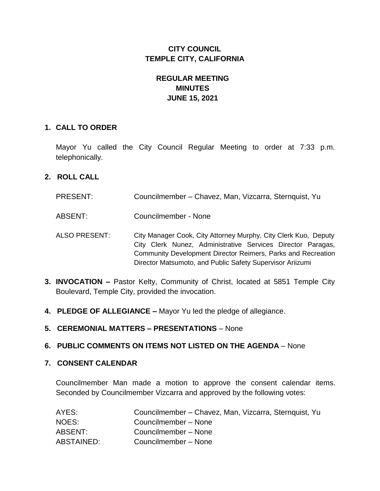# **CITY COUNCIL TEMPLE CITY, CALIFORNIA**

# **REGULAR MEETING MINUTES JUNE 15, 2021**

#### **1. CALL TO ORDER**

Mayor Yu called the City Council Regular Meeting to order at 7:33 p.m. telephonically.

### **2. ROLL CALL**

- PRESENT: Councilmember Chavez, Man, Vizcarra, Sternquist, Yu
- ABSENT: Councilmember None
- ALSO PRESENT: City Manager Cook, City Attorney Murphy, City Clerk Kuo, Deputy City Clerk Nunez, Administrative Services Director Paragas, Community Development Director Reimers, Parks and Recreation Director Matsumoto, and Public Safety Supervisor Ariizumi
- **3. INVOCATION –** Pastor Kelty, Community of Christ, located at 5851 Temple City Boulevard, Temple City, provided the invocation.
- **4. PLEDGE OF ALLEGIANCE –** Mayor Yu led the pledge of allegiance.
- **5. CEREMONIAL MATTERS – PRESENTATIONS**  None

#### **6. PUBLIC COMMENTS ON ITEMS NOT LISTED ON THE AGENDA** – None

#### **7. CONSENT CALENDAR**

Councilmember Man made a motion to approve the consent calendar items. Seconded by Councilmember Vizcarra and approved by the following votes:

| AYES:      | Councilmember – Chavez, Man, Vizcarra, Sternquist, Yu |
|------------|-------------------------------------------------------|
| NOES:      | Councilmember - None                                  |
| ABSENT:    | Councilmember - None                                  |
| ABSTAINED: | Councilmember - None                                  |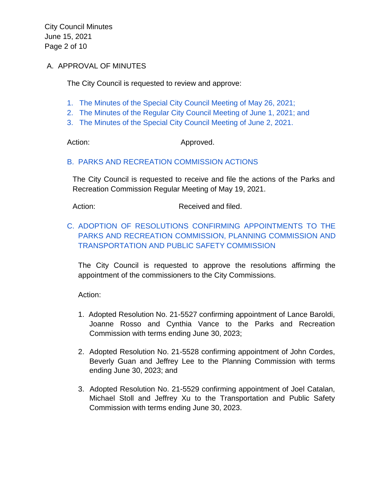City Council Minutes June 15, 2021 Page 2 of 10

#### A. APPROVAL OF MINUTES

The City Council is requested to review and approve:

- [1. The Minutes of the Special City Council Meeting of May 26, 2021;](https://www.ci.temple-city.ca.us/DocumentCenter/View/16368/7A-1_CCM---2021-05-26-Sheriffs-Monthly)
- [2. The Minutes of the Regular City Council Meeting of June 1, 2021; and](https://www.ci.temple-city.ca.us/DocumentCenter/View/16369/7A-2_CCM---2021-06-01)
- [3. The Minutes of the Special City Council Meeting of June 2, 2021.](https://www.ci.temple-city.ca.us/DocumentCenter/View/16370/7A-3_CCM---2021-06-02-Budget-Study-Session)

Action: Approved.

#### [B. PARKS AND RECREATION COMMISSION ACTIONS](https://www.ci.temple-city.ca.us/DocumentCenter/View/16359/7B_PRC-Regular-Meeting-Actions_Staff-Report-2021-15-6)

The City Council is requested to receive and file the actions of the Parks and Recreation Commission Regular Meeting of May 19, 2021.

Action: Received and filed.

# [C. ADOPTION OF RESOLUTIONS CONFIRMING APPOINTMENTS TO THE](https://www.ci.temple-city.ca.us/DocumentCenter/View/16360/7C_Confirmation-of-Commission-Appointments_Staff-Report)  [PARKS AND RECREATION COMMISSION, PLANNING COMMISSION AND](https://www.ci.temple-city.ca.us/DocumentCenter/View/16360/7C_Confirmation-of-Commission-Appointments_Staff-Report)  [TRANSPORTATION AND PUBLIC SAFETY COMMISSION](https://www.ci.temple-city.ca.us/DocumentCenter/View/16360/7C_Confirmation-of-Commission-Appointments_Staff-Report)

The City Council is requested to approve the resolutions affirming the appointment of the commissioners to the City Commissions.

Action:

- 1. Adopted Resolution No. 21-5527 confirming appointment of Lance Baroldi, Joanne Rosso and Cynthia Vance to the Parks and Recreation Commission with terms ending June 30, 2023;
- 2. Adopted Resolution No. 21-5528 confirming appointment of John Cordes, Beverly Guan and Jeffrey Lee to the Planning Commission with terms ending June 30, 2023; and
- 3. Adopted Resolution No. 21-5529 confirming appointment of Joel Catalan, Michael Stoll and Jeffrey Xu to the Transportation and Public Safety Commission with terms ending June 30, 2023.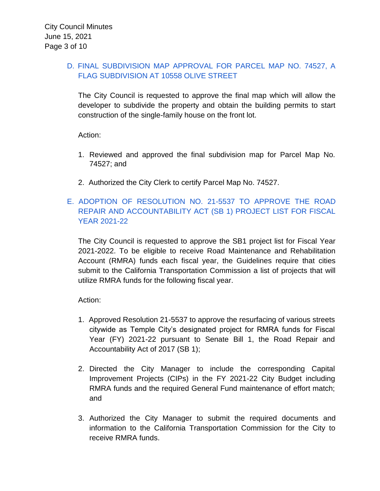### [D. FINAL SUBDIVISION MAP APPROVAL FOR PARCEL MAP NO. 74527, A](https://www.ci.temple-city.ca.us/DocumentCenter/View/16361/7D_Final-Map-74527---10558-Olive-St_Staff-Report)  [FLAG SUBDIVISION AT 10558 OLIVE STREET](https://www.ci.temple-city.ca.us/DocumentCenter/View/16361/7D_Final-Map-74527---10558-Olive-St_Staff-Report)

The City Council is requested to approve the final map which will allow the developer to subdivide the property and obtain the building permits to start construction of the single-family house on the front lot.

Action:

- 1. Reviewed and approved the final subdivision map for Parcel Map No. 74527; and
- 2. Authorized the City Clerk to certify Parcel Map No. 74527.

# [E. ADOPTION OF RESOLUTION NO. 21-5537 TO APPROVE THE ROAD](https://www.ci.temple-city.ca.us/DocumentCenter/View/16362/7E_Approval-of-SB1-Streets-FY-21-22_Staff-Report)  [REPAIR AND ACCOUNTABILITY ACT \(SB 1\) PROJECT LIST FOR FISCAL](https://www.ci.temple-city.ca.us/DocumentCenter/View/16362/7E_Approval-of-SB1-Streets-FY-21-22_Staff-Report)  [YEAR 2021-22](https://www.ci.temple-city.ca.us/DocumentCenter/View/16362/7E_Approval-of-SB1-Streets-FY-21-22_Staff-Report)

The City Council is requested to approve the SB1 project list for Fiscal Year 2021-2022. To be eligible to receive Road Maintenance and Rehabilitation Account (RMRA) funds each fiscal year, the Guidelines require that cities submit to the California Transportation Commission a list of projects that will utilize RMRA funds for the following fiscal year.

Action:

- 1. Approved Resolution 21-5537 to approve the resurfacing of various streets citywide as Temple City's designated project for RMRA funds for Fiscal Year (FY) 2021-22 pursuant to Senate Bill 1, the Road Repair and Accountability Act of 2017 (SB 1);
- 2. Directed the City Manager to include the corresponding Capital Improvement Projects (CIPs) in the FY 2021-22 City Budget including RMRA funds and the required General Fund maintenance of effort match; and
- 3. Authorized the City Manager to submit the required documents and information to the California Transportation Commission for the City to receive RMRA funds.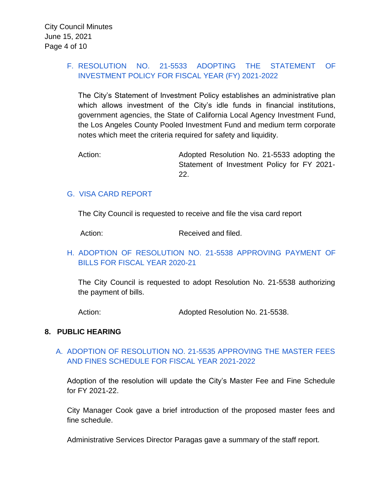### [F. RESOLUTION NO. 21-5533 ADOPTING](https://www.ci.temple-city.ca.us/DocumentCenter/View/16363/7F_Investment-Policy-2122_Staff-Report) THE STATEMENT OF [INVESTMENT POLICY FOR FISCAL YEAR \(FY\) 2021-2022](https://www.ci.temple-city.ca.us/DocumentCenter/View/16363/7F_Investment-Policy-2122_Staff-Report)

The City's Statement of Investment Policy establishes an administrative plan which allows investment of the City's idle funds in financial institutions, government agencies, the State of California Local Agency Investment Fund, the Los Angeles County Pooled Investment Fund and medium term corporate notes which meet the criteria required for safety and liquidity.

Action: **Adopted Resolution No. 21-5533 adopting the** Statement of Investment Policy for FY 2021- 22.

### [G. VISA CARD REPORT](https://www.ci.temple-city.ca.us/DocumentCenter/View/16364/7G_Visa-Card-Report)

The City Council is requested to receive and file the visa card report

Action: Received and filed.

### [H. ADOPTION OF RESOLUTION NO. 21-5538 APPROVING PAYMENT OF](https://www.ci.temple-city.ca.us/DocumentCenter/View/16365/7H_CC-Warrant_Reso-No-21-5538-061521---Warrants--Demands-FY-2020-2021) [BILLS FOR FISCAL YEAR 2020-21](https://www.ci.temple-city.ca.us/DocumentCenter/View/16365/7H_CC-Warrant_Reso-No-21-5538-061521---Warrants--Demands-FY-2020-2021)

The City Council is requested to adopt Resolution No. 21-5538 authorizing the payment of bills.

Action: Adopted Resolution No. 21-5538.

#### **8. PUBLIC HEARING**

### A. [ADOPTION OF RESOLUTION NO. 21-5535 APPROVING THE MASTER FEES](https://www.ci.temple-city.ca.us/DocumentCenter/View/16366/8A_Master-Fee-and-Fine-Schedule_Staff-Report---Fees-FY2122)  [AND FINES SCHEDULE FOR FISCAL YEAR 2021-2022](https://www.ci.temple-city.ca.us/DocumentCenter/View/16366/8A_Master-Fee-and-Fine-Schedule_Staff-Report---Fees-FY2122)

Adoption of the resolution will update the City's Master Fee and Fine Schedule for FY 2021-22.

City Manager Cook gave a brief introduction of the proposed master fees and fine schedule.

Administrative Services Director Paragas gave a summary of the staff report.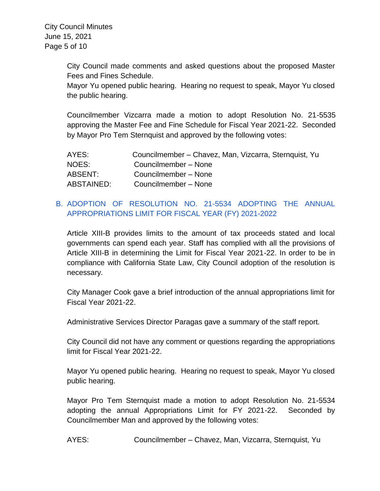City Council made comments and asked questions about the proposed Master Fees and Fines Schedule.

Mayor Yu opened public hearing. Hearing no request to speak, Mayor Yu closed the public hearing.

Councilmember Vizcarra made a motion to adopt Resolution No. 21-5535 approving the Master Fee and Fine Schedule for Fiscal Year 2021-22. Seconded by Mayor Pro Tem Sternquist and approved by the following votes:

| AYES:      | Councilmember - Chavez, Man, Vizcarra, Sternquist, Yu |
|------------|-------------------------------------------------------|
| NOES:      | Councilmember - None                                  |
| ABSENT:    | Councilmember - None                                  |
| ABSTAINED: | Councilmember - None                                  |

# B. [ADOPTION OF RESOLUTION NO. 21-5534 ADOPTING THE ANNUAL](https://www.ci.temple-city.ca.us/DocumentCenter/View/16367/8B_Appropriations-Limit_Staff-Report)  [APPROPRIATIONS LIMIT FOR FISCAL YEAR \(FY\) 2021-2022](https://www.ci.temple-city.ca.us/DocumentCenter/View/16367/8B_Appropriations-Limit_Staff-Report)

Article XIII-B provides limits to the amount of tax proceeds stated and local governments can spend each year. Staff has complied with all the provisions of Article XIII-B in determining the Limit for Fiscal Year 2021-22. In order to be in compliance with California State Law, City Council adoption of the resolution is necessary.

City Manager Cook gave a brief introduction of the annual appropriations limit for Fiscal Year 2021-22.

Administrative Services Director Paragas gave a summary of the staff report.

City Council did not have any comment or questions regarding the appropriations limit for Fiscal Year 2021-22.

Mayor Yu opened public hearing. Hearing no request to speak, Mayor Yu closed public hearing.

Mayor Pro Tem Sternquist made a motion to adopt Resolution No. 21-5534 adopting the annual Appropriations Limit for FY 2021-22. Seconded by Councilmember Man and approved by the following votes:

AYES: Councilmember – Chavez, Man, Vizcarra, Sternquist, Yu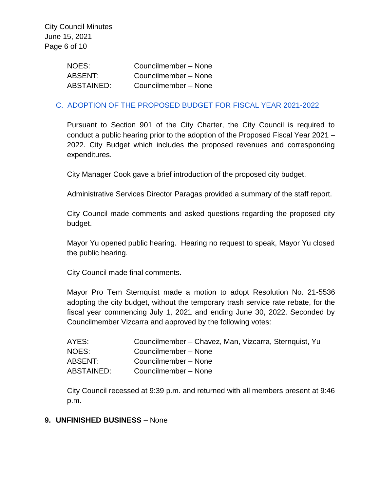| NOES:             | Councilmember - None |
|-------------------|----------------------|
| ABSENT:           | Councilmember - None |
| <b>ABSTAINED:</b> | Councilmember - None |

#### [C. ADOPTION OF THE PROPOSED BUDGET FOR FISCAL YEAR 2021-2022](https://www.ci.temple-city.ca.us/DocumentCenter/View/16374/14-8C_Budget-Adoption_Staff-Report)

Pursuant to Section 901 of the City Charter, the City Council is required to conduct a public hearing prior to the adoption of the Proposed Fiscal Year 2021 – 2022. City Budget which includes the proposed revenues and corresponding expenditures.

City Manager Cook gave a brief introduction of the proposed city budget.

Administrative Services Director Paragas provided a summary of the staff report.

City Council made comments and asked questions regarding the proposed city budget.

Mayor Yu opened public hearing. Hearing no request to speak, Mayor Yu closed the public hearing.

City Council made final comments.

Mayor Pro Tem Sternquist made a motion to adopt Resolution No. 21-5536 adopting the city budget, without the temporary trash service rate rebate, for the fiscal year commencing July 1, 2021 and ending June 30, 2022. Seconded by Councilmember Vizcarra and approved by the following votes:

| AYES:      | Councilmember - Chavez, Man, Vizcarra, Sternquist, Yu |
|------------|-------------------------------------------------------|
| NOES:      | Councilmember - None                                  |
| ABSENT:    | Councilmember - None                                  |
| ABSTAINED: | Councilmember - None                                  |

City Council recessed at 9:39 p.m. and returned with all members present at 9:46 p.m.

#### **9. UNFINISHED BUSINESS** – None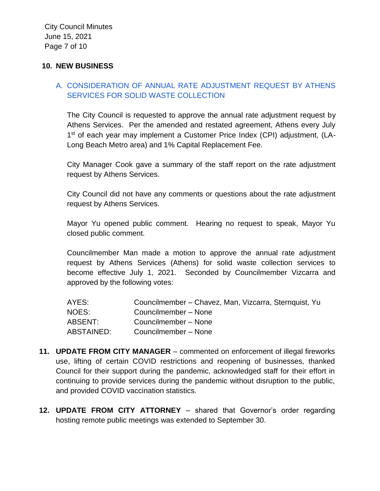#### **10. NEW BUSINESS**

### A. [CONSIDERATION OF ANNUAL RATE ADJUSTMENT REQUEST BY ATHENS](https://www.ci.temple-city.ca.us/DocumentCenter/View/16371/10A_Athens-Rate-Increase_Staff-Report)  [SERVICES FOR SOLID WASTE COLLECTION](https://www.ci.temple-city.ca.us/DocumentCenter/View/16371/10A_Athens-Rate-Increase_Staff-Report)

The City Council is requested to approve the annual rate adjustment request by Athens Services. Per the amended and restated agreement, Athens every July 1<sup>st</sup> of each year may implement a Customer Price Index (CPI) adjustment, (LA-Long Beach Metro area) and 1% Capital Replacement Fee.

City Manager Cook gave a summary of the staff report on the rate adjustment request by Athens Services.

City Council did not have any comments or questions about the rate adjustment request by Athens Services.

Mayor Yu opened public comment. Hearing no request to speak, Mayor Yu closed public comment.

Councilmember Man made a motion to approve the annual rate adjustment request by Athens Services (Athens) for solid waste collection services to become effective July 1, 2021. Seconded by Councilmember Vizcarra and approved by the following votes:

| AYES:      | Councilmember - Chavez, Man, Vizcarra, Sternquist, Yu |
|------------|-------------------------------------------------------|
| NOES:      | Councilmember - None                                  |
| ABSENT:    | Councilmember - None                                  |
| ABSTAINED: | Councilmember - None                                  |

- **11. UPDATE FROM CITY MANAGER**  commented on enforcement of illegal fireworks use, lifting of certain COVID restrictions and reopening of businesses, thanked Council for their support during the pandemic, acknowledged staff for their effort in continuing to provide services during the pandemic without disruption to the public, and provided COVID vaccination statistics.
- **12. UPDATE FROM CITY ATTORNEY**  shared that Governor's order regarding hosting remote public meetings was extended to September 30.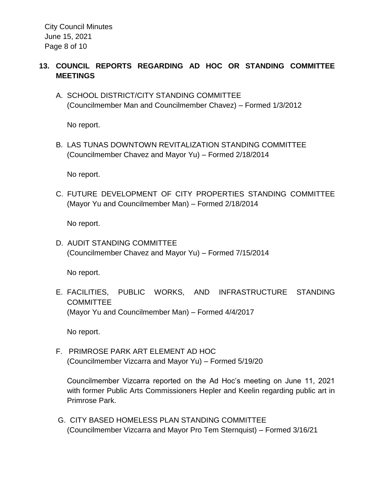City Council Minutes June 15, 2021 Page 8 of 10

### **13. COUNCIL REPORTS REGARDING AD HOC OR STANDING COMMITTEE MEETINGS**

A. SCHOOL DISTRICT/CITY STANDING COMMITTEE (Councilmember Man and Councilmember Chavez) – Formed 1/3/2012

No report.

B. LAS TUNAS DOWNTOWN REVITALIZATION STANDING COMMITTEE (Councilmember Chavez and Mayor Yu) – Formed 2/18/2014

No report.

C. FUTURE DEVELOPMENT OF CITY PROPERTIES STANDING COMMITTEE (Mayor Yu and Councilmember Man) – Formed 2/18/2014

No report.

D. AUDIT STANDING COMMITTEE (Councilmember Chavez and Mayor Yu) – Formed 7/15/2014

No report.

E. FACILITIES, PUBLIC WORKS, AND INFRASTRUCTURE STANDING **COMMITTEE** (Mayor Yu and Councilmember Man) – Formed 4/4/2017

No report.

F. PRIMROSE PARK ART ELEMENT AD HOC (Councilmember Vizcarra and Mayor Yu) – Formed 5/19/20

Councilmember Vizcarra reported on the Ad Hoc's meeting on June 11, 2021 with former Public Arts Commissioners Hepler and Keelin regarding public art in Primrose Park.

G. CITY BASED HOMELESS PLAN STANDING COMMITTEE (Councilmember Vizcarra and Mayor Pro Tem Sternquist) – Formed 3/16/21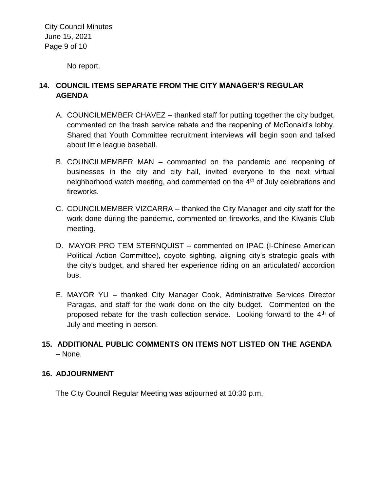City Council Minutes June 15, 2021 Page 9 of 10

No report.

### **14. COUNCIL ITEMS SEPARATE FROM THE CITY MANAGER'S REGULAR AGENDA**

- A. COUNCILMEMBER CHAVEZ thanked staff for putting together the city budget, commented on the trash service rebate and the reopening of McDonald's lobby. Shared that Youth Committee recruitment interviews will begin soon and talked about little league baseball.
- B. COUNCILMEMBER MAN commented on the pandemic and reopening of businesses in the city and city hall, invited everyone to the next virtual neighborhood watch meeting, and commented on the  $4<sup>th</sup>$  of July celebrations and fireworks.
- C. COUNCILMEMBER VIZCARRA thanked the City Manager and city staff for the work done during the pandemic, commented on fireworks, and the Kiwanis Club meeting.
- D. MAYOR PRO TEM STERNQUIST commented on IPAC (I-Chinese American Political Action Committee), coyote sighting, aligning city's strategic goals with the city's budget, and shared her experience riding on an articulated/ accordion bus.
- E. MAYOR YU thanked City Manager Cook, Administrative Services Director Paragas, and staff for the work done on the city budget. Commented on the proposed rebate for the trash collection service. Looking forward to the  $4<sup>th</sup>$  of July and meeting in person.

# **15. ADDITIONAL PUBLIC COMMENTS ON ITEMS NOT LISTED ON THE AGENDA**  – None.

#### **16. ADJOURNMENT**

The City Council Regular Meeting was adjourned at 10:30 p.m.